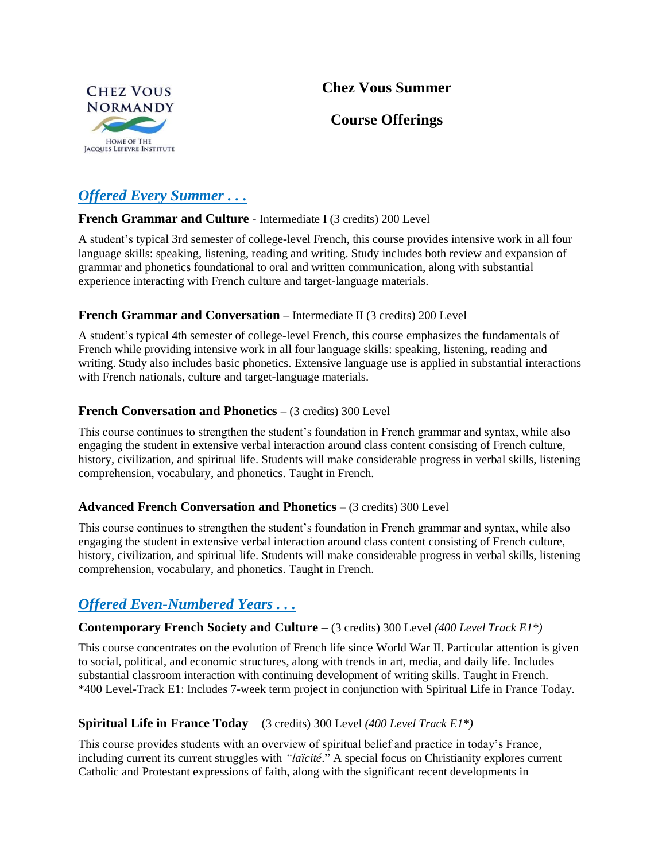## **Chez Vous Summer**



### **Course Offerings**

# *Offered Every Summer . . .*

### **French Grammar and Culture** - Intermediate I (3 credits) 200 Level

A student's typical 3rd semester of college-level French, this course provides intensive work in all four language skills: speaking, listening, reading and writing. Study includes both review and expansion of grammar and phonetics foundational to oral and written communication, along with substantial experience interacting with French culture and target-language materials.

### **French Grammar and Conversation** – Intermediate II (3 credits) 200 Level

A student's typical 4th semester of college-level French, this course emphasizes the fundamentals of French while providing intensive work in all four language skills: speaking, listening, reading and writing. Study also includes basic phonetics. Extensive language use is applied in substantial interactions with French nationals, culture and target-language materials.

### **French Conversation and Phonetics** – (3 credits) 300 Level

This course continues to strengthen the student's foundation in French grammar and syntax, while also engaging the student in extensive verbal interaction around class content consisting of French culture, history, civilization, and spiritual life. Students will make considerable progress in verbal skills, listening comprehension, vocabulary, and phonetics. Taught in French.

### **Advanced French Conversation and Phonetics** – (3 credits) 300 Level

This course continues to strengthen the student's foundation in French grammar and syntax, while also engaging the student in extensive verbal interaction around class content consisting of French culture, history, civilization, and spiritual life. Students will make considerable progress in verbal skills, listening comprehension, vocabulary, and phonetics. Taught in French.

## *Offered Even-Numbered Years . . .*

### **Contemporary French Society and Culture** – (3 credits) 300 Level *(400 Level Track E1\*)*

This course concentrates on the evolution of French life since World War II. Particular attention is given to social, political, and economic structures, along with trends in art, media, and daily life. Includes substantial classroom interaction with continuing development of writing skills. Taught in French. \*400 Level-Track E1: Includes 7-week term project in conjunction with Spiritual Life in France Today.

### **Spiritual Life in France Today** – (3 credits) 300 Level *(400 Level Track E1\*)*

This course provides students with an overview of spiritual belief and practice in today's France, including current its current struggles with *"laïcité*." A special focus on Christianity explores current Catholic and Protestant expressions of faith, along with the significant recent developments in